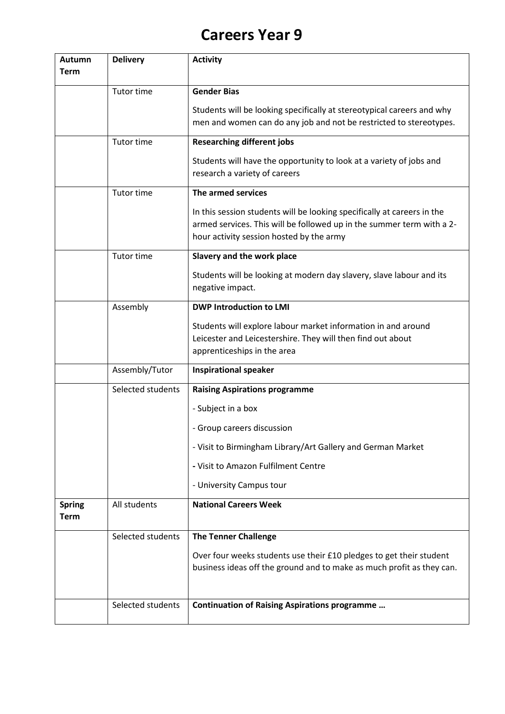## **Careers Year 9**

| Autumn<br><b>Term</b>        | <b>Delivery</b>   | <b>Activity</b>                                                                                                                                                                              |
|------------------------------|-------------------|----------------------------------------------------------------------------------------------------------------------------------------------------------------------------------------------|
|                              | Tutor time        | <b>Gender Bias</b>                                                                                                                                                                           |
|                              |                   | Students will be looking specifically at stereotypical careers and why<br>men and women can do any job and not be restricted to stereotypes.                                                 |
|                              | Tutor time        | <b>Researching different jobs</b>                                                                                                                                                            |
|                              |                   | Students will have the opportunity to look at a variety of jobs and<br>research a variety of careers                                                                                         |
|                              | Tutor time        | The armed services                                                                                                                                                                           |
|                              |                   | In this session students will be looking specifically at careers in the<br>armed services. This will be followed up in the summer term with a 2-<br>hour activity session hosted by the army |
|                              | <b>Tutor time</b> | Slavery and the work place                                                                                                                                                                   |
|                              |                   | Students will be looking at modern day slavery, slave labour and its<br>negative impact.                                                                                                     |
|                              | Assembly          | <b>DWP Introduction to LMI</b>                                                                                                                                                               |
|                              |                   | Students will explore labour market information in and around<br>Leicester and Leicestershire. They will then find out about<br>apprenticeships in the area                                  |
|                              | Assembly/Tutor    | <b>Inspirational speaker</b>                                                                                                                                                                 |
|                              | Selected students | <b>Raising Aspirations programme</b>                                                                                                                                                         |
|                              |                   | - Subject in a box                                                                                                                                                                           |
|                              |                   | - Group careers discussion                                                                                                                                                                   |
|                              |                   | - Visit to Birmingham Library/Art Gallery and German Market                                                                                                                                  |
|                              |                   | - Visit to Amazon Fulfilment Centre                                                                                                                                                          |
|                              |                   | - University Campus tour                                                                                                                                                                     |
| <b>Spring</b><br><b>Term</b> | All students      | <b>National Careers Week</b>                                                                                                                                                                 |
|                              | Selected students | <b>The Tenner Challenge</b>                                                                                                                                                                  |
|                              |                   | Over four weeks students use their £10 pledges to get their student<br>business ideas off the ground and to make as much profit as they can.                                                 |
|                              | Selected students | <b>Continuation of Raising Aspirations programme</b>                                                                                                                                         |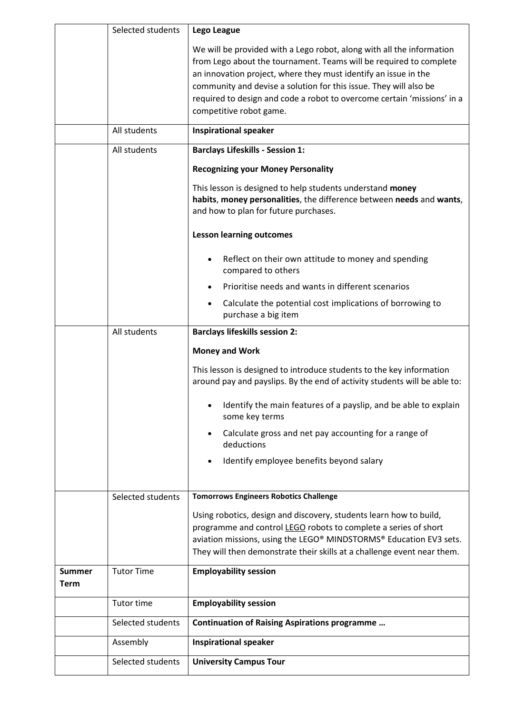|                       | Selected students | Lego League                                                                                                                                                                                                                                                                                                                                                                               |
|-----------------------|-------------------|-------------------------------------------------------------------------------------------------------------------------------------------------------------------------------------------------------------------------------------------------------------------------------------------------------------------------------------------------------------------------------------------|
|                       |                   | We will be provided with a Lego robot, along with all the information<br>from Lego about the tournament. Teams will be required to complete<br>an innovation project, where they must identify an issue in the<br>community and devise a solution for this issue. They will also be<br>required to design and code a robot to overcome certain 'missions' in a<br>competitive robot game. |
|                       | All students      | <b>Inspirational speaker</b>                                                                                                                                                                                                                                                                                                                                                              |
|                       | All students      | <b>Barclays Lifeskills - Session 1:</b>                                                                                                                                                                                                                                                                                                                                                   |
|                       |                   | <b>Recognizing your Money Personality</b>                                                                                                                                                                                                                                                                                                                                                 |
|                       |                   | This lesson is designed to help students understand money<br>habits, money personalities, the difference between needs and wants,<br>and how to plan for future purchases.                                                                                                                                                                                                                |
|                       |                   | <b>Lesson learning outcomes</b>                                                                                                                                                                                                                                                                                                                                                           |
|                       |                   | Reflect on their own attitude to money and spending<br>compared to others                                                                                                                                                                                                                                                                                                                 |
|                       |                   | Prioritise needs and wants in different scenarios                                                                                                                                                                                                                                                                                                                                         |
|                       |                   | Calculate the potential cost implications of borrowing to<br>purchase a big item                                                                                                                                                                                                                                                                                                          |
|                       | All students      | <b>Barclays lifeskills session 2:</b>                                                                                                                                                                                                                                                                                                                                                     |
|                       |                   | <b>Money and Work</b>                                                                                                                                                                                                                                                                                                                                                                     |
|                       |                   | This lesson is designed to introduce students to the key information<br>around pay and payslips. By the end of activity students will be able to:                                                                                                                                                                                                                                         |
|                       |                   | Identify the main features of a payslip, and be able to explain<br>some key terms                                                                                                                                                                                                                                                                                                         |
|                       |                   | Calculate gross and net pay accounting for a range of<br>deductions                                                                                                                                                                                                                                                                                                                       |
|                       |                   | Identify employee benefits beyond salary                                                                                                                                                                                                                                                                                                                                                  |
|                       | Selected students | <b>Tomorrows Engineers Robotics Challenge</b>                                                                                                                                                                                                                                                                                                                                             |
|                       |                   | Using robotics, design and discovery, students learn how to build,<br>programme and control LEGO robots to complete a series of short<br>aviation missions, using the LEGO® MINDSTORMS® Education EV3 sets.                                                                                                                                                                               |
|                       |                   | They will then demonstrate their skills at a challenge event near them.                                                                                                                                                                                                                                                                                                                   |
| <b>Summer</b><br>Term | <b>Tutor Time</b> | <b>Employability session</b>                                                                                                                                                                                                                                                                                                                                                              |
|                       | Tutor time        | <b>Employability session</b>                                                                                                                                                                                                                                                                                                                                                              |
|                       | Selected students | <b>Continuation of Raising Aspirations programme</b>                                                                                                                                                                                                                                                                                                                                      |
|                       | Assembly          | <b>Inspirational speaker</b>                                                                                                                                                                                                                                                                                                                                                              |
|                       | Selected students | <b>University Campus Tour</b>                                                                                                                                                                                                                                                                                                                                                             |